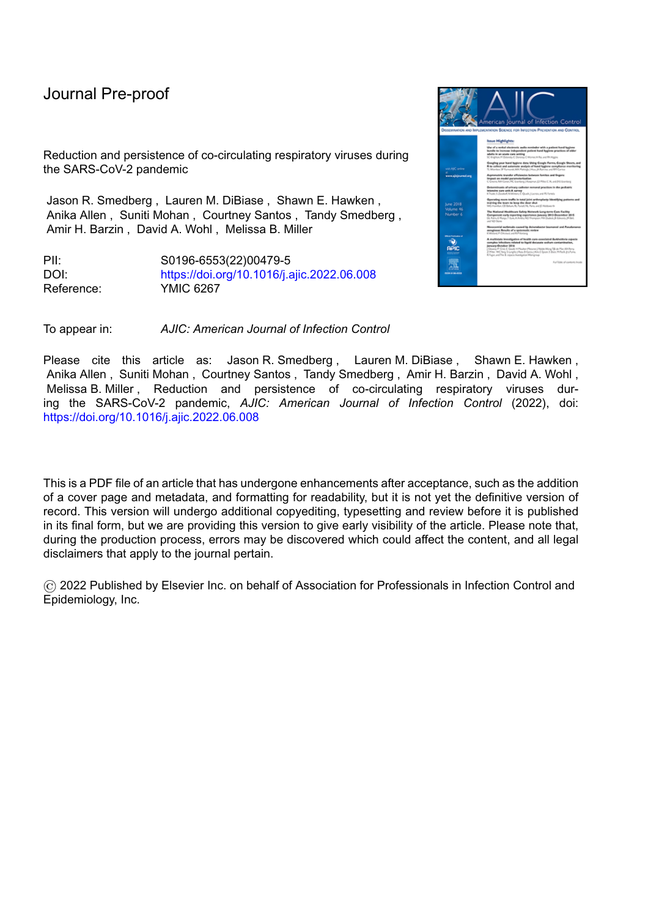# Journal Pre-proof

Reduction and persistence of co-circulating respiratory viruses during the SARS-CoV-2 pandemic

Jason R. Smedberg , Lauren M. DiBiase , Shawn E. Hawken , Anika Allen , Suniti Mohan , Courtney Santos , Tandy Smedberg , Amir H. Barzin , David A. Wohl , Melissa B. Miller

PII: S0196-6553(22)00479-5 DOI: <https://doi.org/10.1016/j.ajic.2022.06.008> Reference: YMIC 6267



Please cite this article as: Jason R. Smedberg, Lauren M. DiBiase, Shawn E. Hawken, Anika Allen , Suniti Mohan , Courtney Santos , Tandy Smedberg , Amir H. Barzin , David A. Wohl , Melissa B. Miller , Reduction and persistence of co-circulating respiratory viruses during the SARS-CoV-2 pandemic, *AJIC: American Journal of Infection Control* (2022), doi: <https://doi.org/10.1016/j.ajic.2022.06.008>

This is a PDF file of an article that has undergone enhancements after acceptance, such as the addition of a cover page and metadata, and formatting for readability, but it is not yet the definitive version of record. This version will undergo additional copyediting, typesetting and review before it is published in its final form, but we are providing this version to give early visibility of the article. Please note that, during the production process, errors may be discovered which could affect the content, and all legal disclaimers that apply to the journal pertain.

© 2022 Published by Elsevier Inc. on behalf of Association for Professionals in Infection Control and Epidemiology, Inc.

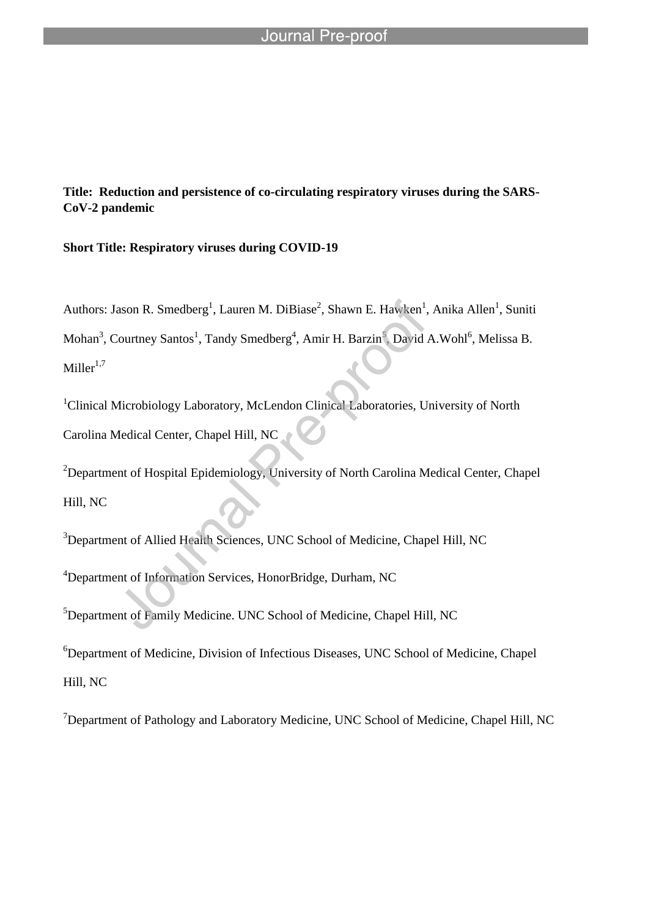**Title: Reduction and persistence of co-circulating respiratory viruses during the SARS-CoV-2 pandemic**

**Short Title: Respiratory viruses during COVID-19**

l

Authors: Jason R. Smedberg<sup>1</sup>, Lauren M. DiBiase<sup>2</sup>, Shawn E. Hawken<sup>1</sup>, Anika Allen<sup>1</sup>, Suniti Mohan<sup>3</sup>, Courtney Santos<sup>1</sup>, Tandy Smedberg<sup>4</sup>, Amir H. Barzin<sup>5</sup>, David A.Wohl<sup>6</sup>, Melissa B.  $Miller<sup>1,7</sup>$ 

<sup>1</sup>Clinical Microbiology Laboratory, McLendon Clinical Laboratories, University of North Carolina Medical Center, Chapel Hill, NC

<sup>2</sup>Department of Hospital Epidemiology, University of North Carolina Medical Center, Chapel Hill, NC

<sup>3</sup>Department of Allied Health Sciences, UNC School of Medicine, Chapel Hill, NC

<sup>4</sup>Department of Information Services, HonorBridge, Durham, NC

<sup>5</sup>Department of Family Medicine. UNC School of Medicine, Chapel Hill, NC

<sup>6</sup>Department of Medicine, Division of Infectious Diseases, UNC School of Medicine, Chapel Hill, NC

 $7$ Department of Pathology and Laboratory Medicine, UNC School of Medicine, Chapel Hill, NC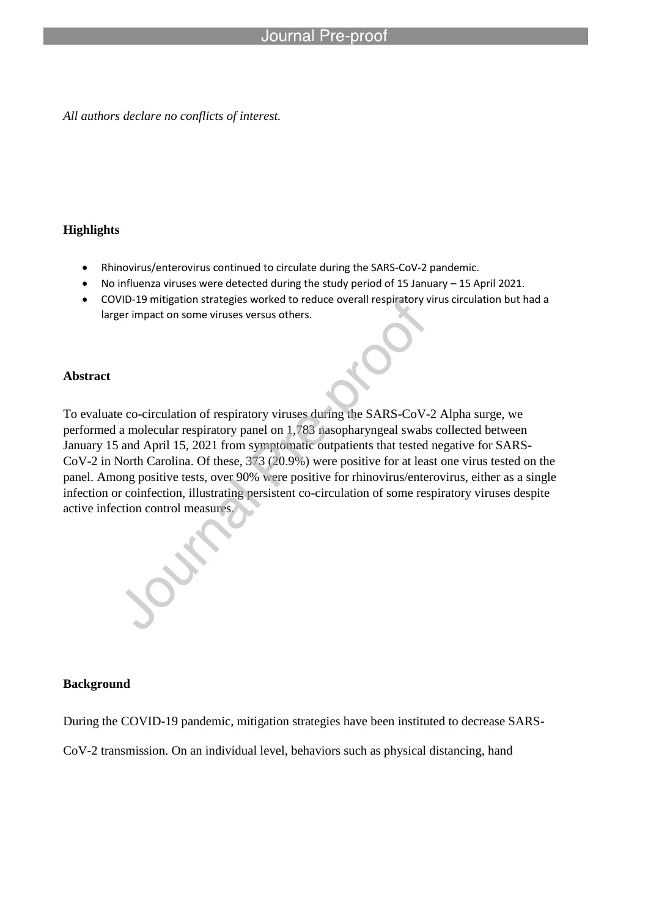#### Journal Pre-proof

*All authors declare no conflicts of interest.* 

l

### **Highlights**

- Rhinovirus/enterovirus continued to circulate during the SARS-CoV-2 pandemic.
- No influenza viruses were detected during the study period of 15 January 15 April 2021.
- COVID-19 mitigation strategies worked to reduce overall respiratory virus circulation but had a larger impact on some viruses versus others.

### **Abstract**

To evaluate co-circulation of respiratory viruses during the SARS-CoV-2 Alpha surge, we performed a molecular respiratory panel on 1,783 nasopharyngeal swabs collected between January 15 and April 15, 2021 from symptomatic outpatients that tested negative for SARS-CoV-2 in North Carolina. Of these, 373 (20.9%) were positive for at least one virus tested on the panel. Among positive tests, over 90% were positive for rhinovirus/enterovirus, either as a single infection or coinfection, illustrating persistent co-circulation of some respiratory viruses despite active infection control measures.

### **Background**

During the COVID-19 pandemic, mitigation strategies have been instituted to decrease SARS-

CoV-2 transmission. On an individual level, behaviors such as physical distancing, hand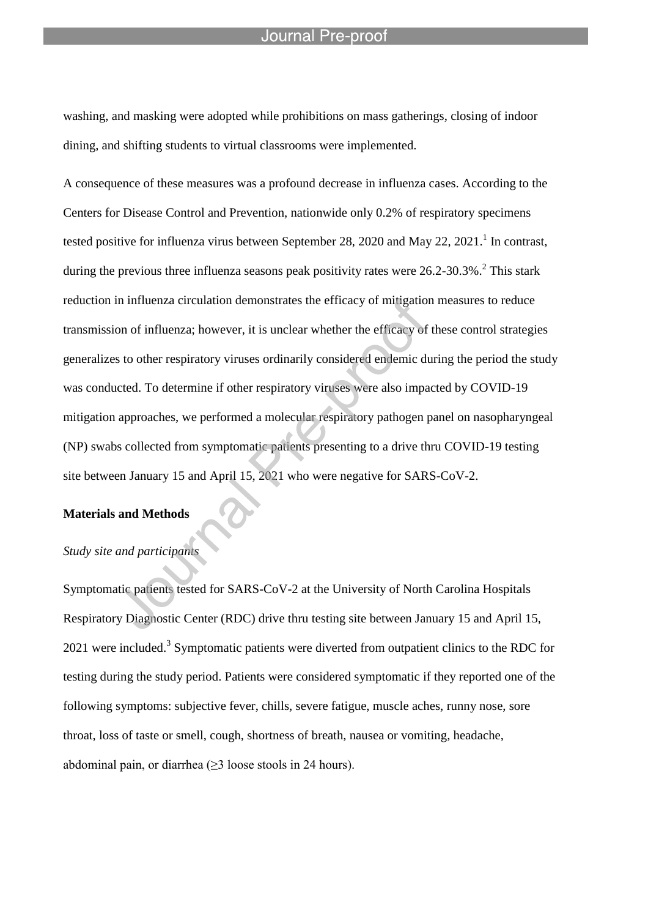#### Journal Pre-proo

washing, and masking were adopted while prohibitions on mass gatherings, closing of indoor dining, and shifting students to virtual classrooms were implemented.

l

A consequence of these measures was a profound decrease in influenza cases. According to the Centers for Disease Control and Prevention, nationwide only 0.2% of respiratory specimens tested positive for influenza virus between September 28, 2020 and May 22, 2021.<sup>1</sup> In contrast, during the previous three influenza seasons peak positivity rates were  $26.2$ -30.3%.<sup>2</sup> This stark reduction in influenza circulation demonstrates the efficacy of mitigation measures to reduce transmission of influenza; however, it is unclear whether the efficacy of these control strategies generalizes to other respiratory viruses ordinarily considered endemic during the period the study was conducted. To determine if other respiratory viruses were also impacted by COVID-19 mitigation approaches, we performed a molecular respiratory pathogen panel on nasopharyngeal (NP) swabs collected from symptomatic patients presenting to a drive thru COVID-19 testing site between January 15 and April 15, 2021 who were negative for SARS-CoV-2.

# **Materials and Methods**

## *Study site and participants*

Symptomatic patients tested for SARS-CoV-2 at the University of North Carolina Hospitals Respiratory Diagnostic Center (RDC) drive thru testing site between January 15 and April 15, 2021 were included.<sup>3</sup> Symptomatic patients were diverted from outpatient clinics to the RDC for testing during the study period. Patients were considered symptomatic if they reported one of the following symptoms: subjective fever, chills, severe fatigue, muscle aches, runny nose, sore throat, loss of taste or smell, cough, shortness of breath, nausea or vomiting, headache, abdominal pain, or diarrhea  $(\geq 3$  loose stools in 24 hours).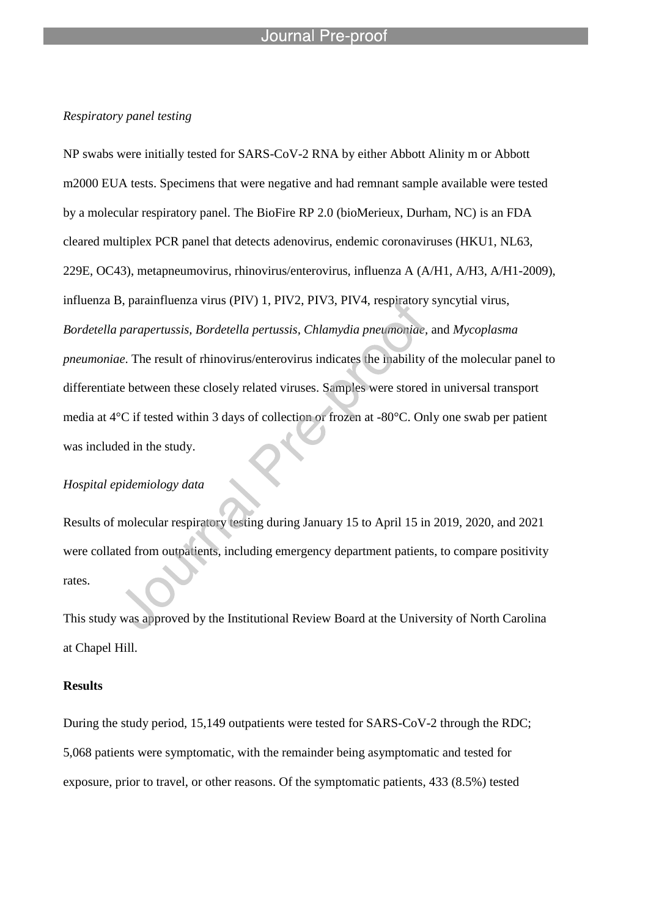#### Journal Pre-proo

l

#### *Respiratory panel testing*

NP swabs were initially tested for SARS-CoV-2 RNA by either Abbott Alinity m or Abbott m2000 EUA tests. Specimens that were negative and had remnant sample available were tested by a molecular respiratory panel. The BioFire RP 2.0 (bioMerieux, Durham, NC) is an FDA cleared multiplex PCR panel that detects adenovirus, endemic coronaviruses (HKU1, NL63, 229E, OC43), metapneumovirus, rhinovirus/enterovirus, influenza A (A/H1, A/H3, A/H1-2009), influenza B, parainfluenza virus (PIV) 1, PIV2, PIV3, PIV4, respiratory syncytial virus, *Bordetella parapertussis, Bordetella pertussis, Chlamydia pneumoniae,* and *Mycoplasma pneumoniae*. The result of rhinovirus/enterovirus indicates the inability of the molecular panel to differentiate between these closely related viruses. Samples were stored in universal transport media at 4°C if tested within 3 days of collection or frozen at -80°C. Only one swab per patient was included in the study.

#### *Hospital epidemiology data*

Results of molecular respiratory testing during January 15 to April 15 in 2019, 2020, and 2021 were collated from outpatients, including emergency department patients, to compare positivity rates.

This study was approved by the Institutional Review Board at the University of North Carolina at Chapel Hill.

#### **Results**

During the study period, 15,149 outpatients were tested for SARS-CoV-2 through the RDC; 5,068 patients were symptomatic, with the remainder being asymptomatic and tested for exposure, prior to travel, or other reasons. Of the symptomatic patients, 433 (8.5%) tested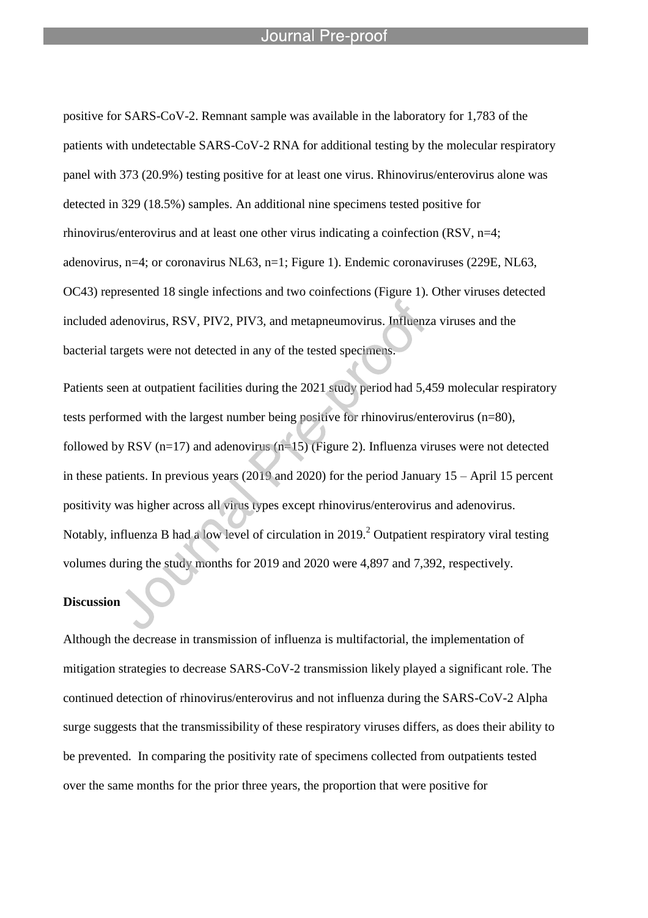#### Journal Pre-proo

l

positive for SARS-CoV-2. Remnant sample was available in the laboratory for 1,783 of the patients with undetectable SARS-CoV-2 RNA for additional testing by the molecular respiratory panel with 373 (20.9%) testing positive for at least one virus. Rhinovirus/enterovirus alone was detected in 329 (18.5%) samples. An additional nine specimens tested positive for rhinovirus/enterovirus and at least one other virus indicating a coinfection (RSV, n=4; adenovirus, n=4; or coronavirus NL63, n=1; Figure 1). Endemic coronaviruses (229E, NL63, OC43) represented 18 single infections and two coinfections (Figure 1). Other viruses detected included adenovirus, RSV, PIV2, PIV3, and metapneumovirus. Influenza viruses and the bacterial targets were not detected in any of the tested specimens.

Patients seen at outpatient facilities during the 2021 study period had 5,459 molecular respiratory tests performed with the largest number being positive for rhinovirus/enterovirus (n=80), followed by RSV ( $n=17$ ) and adenovirus ( $n=15$ ) (Figure 2). Influenza viruses were not detected in these patients. In previous years (2019 and 2020) for the period January 15 – April 15 percent positivity was higher across all virus types except rhinovirus/enterovirus and adenovirus. Notably, influenza B had a low level of circulation in 2019.<sup>2</sup> Outpatient respiratory viral testing volumes during the study months for 2019 and 2020 were 4,897 and 7,392, respectively.

# **Discussion**

Although the decrease in transmission of influenza is multifactorial, the implementation of mitigation strategies to decrease SARS-CoV-2 transmission likely played a significant role. The continued detection of rhinovirus/enterovirus and not influenza during the SARS-CoV-2 Alpha surge suggests that the transmissibility of these respiratory viruses differs, as does their ability to be prevented. In comparing the positivity rate of specimens collected from outpatients tested over the same months for the prior three years, the proportion that were positive for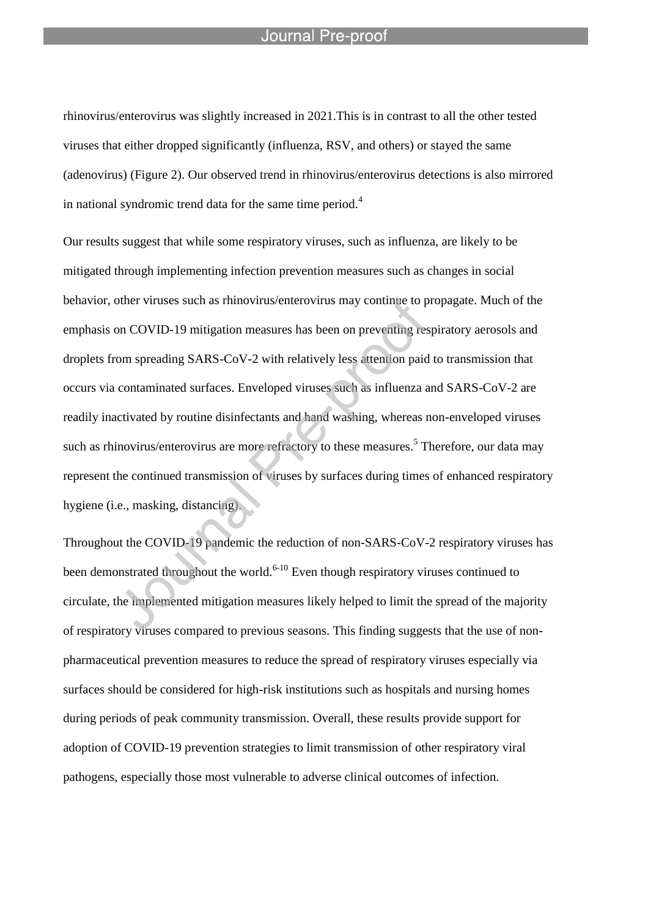#### Journal Pre-proo

l

rhinovirus/enterovirus was slightly increased in 2021.This is in contrast to all the other tested viruses that either dropped significantly (influenza, RSV, and others) or stayed the same (adenovirus) (Figure 2). Our observed trend in rhinovirus/enterovirus detections is also mirrored in national syndromic trend data for the same time period. $4$ 

Our results suggest that while some respiratory viruses, such as influenza, are likely to be mitigated through implementing infection prevention measures such as changes in social behavior, other viruses such as rhinovirus/enterovirus may continue to propagate. Much of the emphasis on COVID-19 mitigation measures has been on preventing respiratory aerosols and droplets from spreading SARS-CoV-2 with relatively less attention paid to transmission that occurs via contaminated surfaces. Enveloped viruses such as influenza and SARS-CoV-2 are readily inactivated by routine disinfectants and hand washing, whereas non-enveloped viruses such as rhinovirus/enterovirus are more refractory to these measures.<sup>5</sup> Therefore, our data may represent the continued transmission of viruses by surfaces during times of enhanced respiratory hygiene (i.e., masking, distancing).

Throughout the COVID-19 pandemic the reduction of non-SARS-CoV-2 respiratory viruses has been demonstrated throughout the world.<sup>6-10</sup> Even though respiratory viruses continued to circulate, the implemented mitigation measures likely helped to limit the spread of the majority of respiratory viruses compared to previous seasons. This finding suggests that the use of nonpharmaceutical prevention measures to reduce the spread of respiratory viruses especially via surfaces should be considered for high-risk institutions such as hospitals and nursing homes during periods of peak community transmission. Overall, these results provide support for adoption of COVID-19 prevention strategies to limit transmission of other respiratory viral pathogens, especially those most vulnerable to adverse clinical outcomes of infection.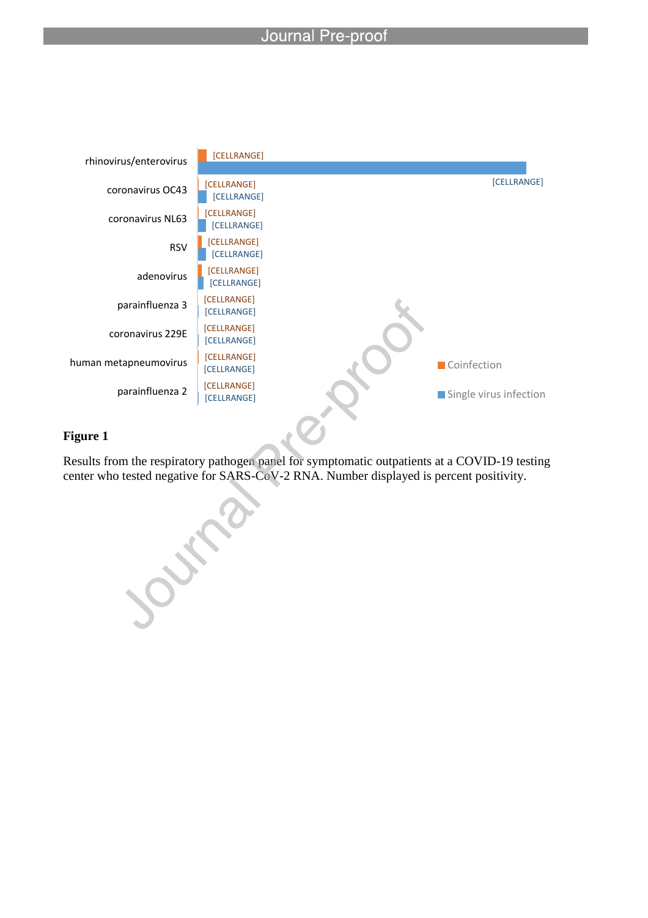l



# **Figure 1**

Results from the respiratory pathogen panel for symptomatic outpatients at a COVID-19 testing center who tested negative for SARS-CoV-2 RNA. Number displayed is percent positivity.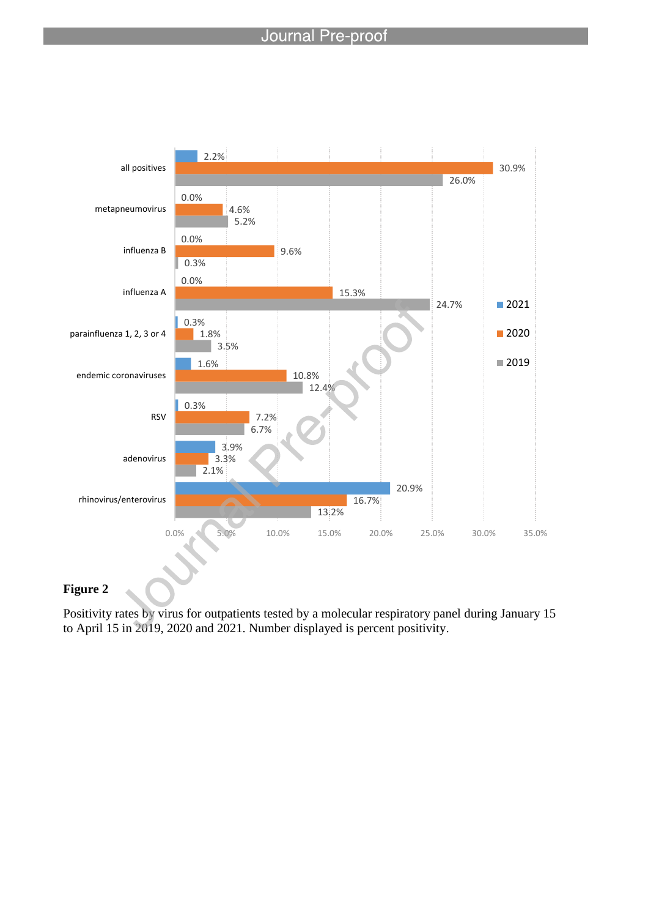# Journal Pre-proof

l



# **Figure 2**

Positivity rates by virus for outpatients tested by a molecular respiratory panel during January 15 to April 15 in 2019, 2020 and 2021. Number displayed is percent positivity.